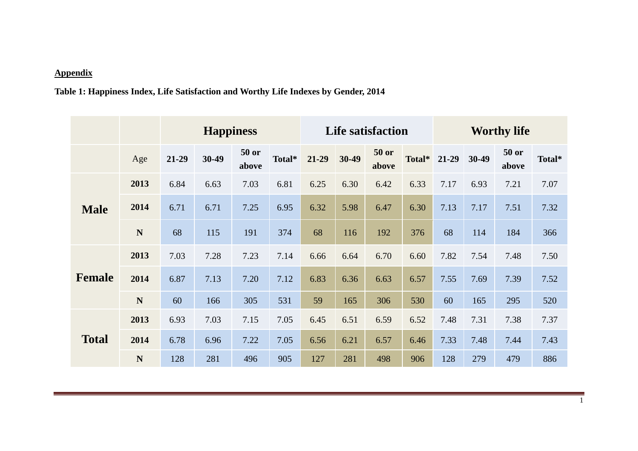## **Appendix**

## **Table 1: Happiness Index, Life Satisfaction and Worthy Life Indexes by Gender, 2014**

|               |             |       |       |                | <b>Life satisfaction</b> |       | <b>Worthy life</b> |                       |        |         |       |                |        |
|---------------|-------------|-------|-------|----------------|--------------------------|-------|--------------------|-----------------------|--------|---------|-------|----------------|--------|
|               | Age         | 21-29 | 30-49 | 50 or<br>above | Total*                   | 21-29 | 30-49              | <b>50 or</b><br>above | Total* | $21-29$ | 30-49 | 50 or<br>above | Total* |
| <b>Male</b>   | 2013        | 6.84  | 6.63  | 7.03           | 6.81                     | 6.25  | 6.30               | 6.42                  | 6.33   | 7.17    | 6.93  | 7.21           | 7.07   |
|               | 2014        | 6.71  | 6.71  | 7.25           | 6.95                     | 6.32  | 5.98               | 6.47                  | 6.30   | 7.13    | 7.17  | 7.51           | 7.32   |
|               | N           | 68    | 115   | 191            | 374                      | 68    | 116                | 192                   | 376    | 68      | 114   | 184            | 366    |
| <b>Female</b> | 2013        | 7.03  | 7.28  | 7.23           | 7.14                     | 6.66  | 6.64               | 6.70                  | 6.60   | 7.82    | 7.54  | 7.48           | 7.50   |
|               | 2014        | 6.87  | 7.13  | 7.20           | 7.12                     | 6.83  | 6.36               | 6.63                  | 6.57   | 7.55    | 7.69  | 7.39           | 7.52   |
|               | $\mathbf N$ | 60    | 166   | 305            | 531                      | 59    | 165                | 306                   | 530    | 60      | 165   | 295            | 520    |
| <b>Total</b>  | 2013        | 6.93  | 7.03  | 7.15           | 7.05                     | 6.45  | 6.51               | 6.59                  | 6.52   | 7.48    | 7.31  | 7.38           | 7.37   |
|               | 2014        | 6.78  | 6.96  | 7.22           | 7.05                     | 6.56  | 6.21               | 6.57                  | 6.46   | 7.33    | 7.48  | 7.44           | 7.43   |
|               | N           | 128   | 281   | 496            | 905                      | 127   | 281                | 498                   | 906    | 128     | 279   | 479            | 886    |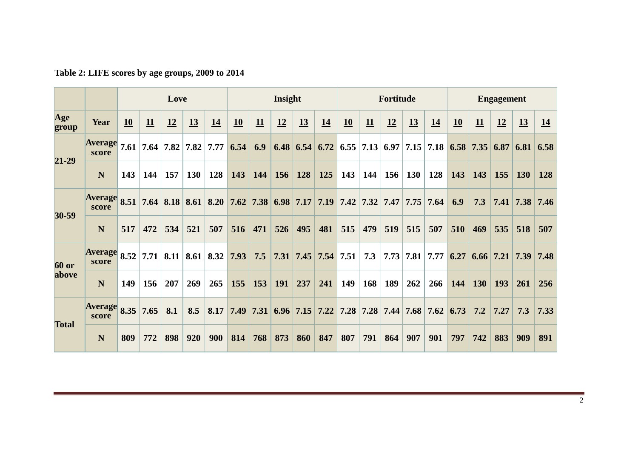|                       |                         | Love |             |     |                                   |                                                                            | Insight |                            |     |           | Fortitude                                              |     |     |           | <b>Engagement</b> |                  |      |            |            |                  |                             |
|-----------------------|-------------------------|------|-------------|-----|-----------------------------------|----------------------------------------------------------------------------|---------|----------------------------|-----|-----------|--------------------------------------------------------|-----|-----|-----------|-------------------|------------------|------|------------|------------|------------------|-----------------------------|
| Age<br>group          | Year                    | 10   | 11          | 12  | <u>13</u>                         | 14                                                                         | 10      | 11                         | 12  | <u>13</u> | 14                                                     | 10  | 11  | <u>12</u> | <u>13</u>         | 14               | 10   | 11         | 12         | 13               | <u>14</u>                   |
| 21-29                 | <b>Average</b><br>score |      |             |     | $7.61$   $7.64$   $7.82$   $7.82$ | 7.77                                                                       |         | $6.54 \,   \, 6.9 \,   \,$ |     |           | 6.48 6.54 6.72 6.55 7.13 6.97 7.15 7.18 6.58 7.35 6.87 |     |     |           |                   |                  |      |            |            |                  | $6.81 \,   \, 6.58 \,   \,$ |
|                       | N                       | 143  | 144         | 157 | <b>130</b>                        | 128                                                                        | 143     | 144                        | 156 | 128       | 125                                                    | 143 | 144 | 156       | <b>130</b>        | 128              | 143  | 143        | 155        | <b>130</b>       | 128                         |
| 30-59                 | <b>Average</b><br>score |      |             |     |                                   | 8.51 7.64 8.18 8.61 8.20 7.62 7.38 6.98 7.17 7.19 7.42 7.32 7.47 7.75 7.64 |         |                            |     |           |                                                        |     |     |           |                   |                  | 6.9  | 7.3        |            |                  | 7.41 7.38 7.46              |
|                       | N                       | 517  | 472         | 534 | 521                               | 507                                                                        | 516     | 471                        | 526 | 495       | 481                                                    | 515 | 479 | 519       | 515               | 507              | 510  | 469        | 535        | 518              | 507                         |
| <b>60 or</b><br>above | <b>Average</b><br>score |      | $8.52$ 7.71 |     |                                   | 8.11   8.61   8.32                                                         |         | $7.93 \mid 7.5$            |     |           | $7.31$ 7.45 7.54 7.51                                  |     | 7.3 |           |                   | $7.73$ 7.81 7.77 | 6.27 |            |            | $6.66$ 7.21 7.39 | 7.48                        |
|                       | N                       | 149  | 156         | 207 | 269                               | 265                                                                        | 155     | 153                        | 191 | 237       | 241                                                    | 149 | 168 | 189       | 262               | 266              | 144  | <b>130</b> | <b>193</b> | 261              | 256                         |
| <b>Total</b>          | <b>Average</b><br>score | 8.35 | 7.65        | 8.1 | 8.5                               |                                                                            |         |                            |     |           | 8.17 7.49 7.31 6.96 7.15 7.22 7.28 7.28 7.44 7.68 7.62 |     |     |           |                   |                  | 6.73 | 7.2        | 7.27       | 7.3              | 7.33                        |
|                       | N                       | 809  | 772         | 898 | 920                               | 900                                                                        | 814     | 768                        | 873 | 860       | 847                                                    | 807 | 791 | 864       | 907               | 901              | 797  | 742        | 883        | 909              | 891                         |

**Table 2: LIFE scores by age groups, 2009 to 2014**